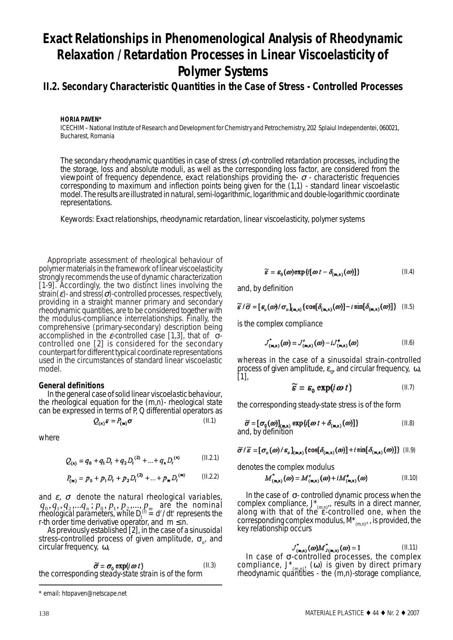# **Exact Relationships in Phenomenological Analysis of Rheodynamic Relaxation / Retardation Processes in Linear Viscoelasticity of Polymer Systems**

# **II.2. Secondary Characteristic Quantities in the Case of Stress - Controlled Processes**

**HORIA PAVEN\***

ICECHIM – National Institute of Research and Development for Chemistry and Petrochemistry, 202 Splaiul Independentei, 060021, Bucharest, Romania

*The secondary rheodynamic quantities in case of stress (*σ*)-controlled retardation processes, including the the storage, loss and absolute moduli, as well as the corresponding loss factor, are considered from the viewpoint of frequency dependence, exact relationships providing the-* σ *- characteristic frequencies corresponding to maximum and inflection points being given for the (1,1) - standard linear viscoelastic model. The results are illustrated in natural, semi-logarithmic, logarithmic and double-logarithmic coordinate representations.*

*Keywords: Exact relationships, rheodynamic retardation, linear viscoelasticity, polymer systems*

Appropriate assessment of rheological behaviour of polymer materials in the framework of linear viscoelasticity strongly recommends the use of dynamic characterization [1-9]. Accordingly, the two distinct lines involving the strain( $\varepsilon$ )- and stress( $\sigma$ )-controlled processes, respectively, providing in a straight manner primary and secondary rheodynamic quantities, are to be considered together with the modulus-compliance interrelationships. Finally, the comprehensive (primary-secondary) description being accomplished in the ε-*controlled* case [1,3], that of σ*controlled* one [2] is considered for the secondary counterpart for different typical coordinate representations used in the circumstances of standard linear viscoelastic model.

## **General definitions**

In the general case of *solid linear viscoelastic behaviour*, can be expressed in terms of P, Q differential operators as

$$
Q_{(n)}\mathcal{E} = P_{(m)}\boldsymbol{\sigma} \tag{II.1}
$$

where

$$
Q_{(n)} = q_0 + q_1 D_t + q_2 D_t^{(2)} + ... + q_n D_t^{(n)}
$$
 (II.2.1)

$$
P_{(m)} = p_0 + p_1 D_t + p_2 D_t^{(2)} + ... + p_m D_t^{(m)} \qquad (\text{II.2.2})
$$

and  $\varepsilon$ ,  $\sigma$  denote the *natural rheological variables*,  $q_0, q_1, q_2, ..., q_n$ ;  $p_0, p_1, p_2, ..., p_m$  are the *nominal rheological parameters*, while  $D_t^{(0)} = d^r/dt^r$  represents the r-th order time derivative operator, and  $m \leq n$ .

As previously established [2], in the case of a *sinusoidal stress-controlled process* of given amplitude, σ<sub>o</sub>, and circular frequency, ω,

$$
\tilde{\sigma} = \sigma_0 \exp(i \omega t)
$$
 (II.3)  
the corresponding *steady-state strain* is of the form

$$
\widetilde{\varepsilon} = \varepsilon_0(\omega) \exp\{i[\omega t - \delta_{(m,n)}(\omega)]\}
$$
 (II.4)

and, by definition

$$
\widetilde{\sigma} / \widetilde{\sigma} = [\sigma_o(\omega) / \sigma_o]_{(m,n)} \{ \cos[\delta_{(m,n)}(\omega)] - i \sin[\delta_{(m,n)}(\omega)] \} \quad (\text{II.5})
$$

is the *complex compliance*

$$
U^{\dagger}_{(m,n)}(\omega) = J'_{(m,n)}(\omega) - iJ^{\prime}_{(m,n)}(\omega) \tag{II.6}
$$

whereas in the case of a *sinusoidal strain-controlled process* of given amplitude,  $\varepsilon_{0}$ , and circular frequency,  $\omega$ , [1],

$$
\widetilde{\mathbf{s}} = \mathbf{s}_0 \exp(i \omega t) \tag{II.7}
$$

the corresponding *steady-state stress* is of the form

$$
\widetilde{\sigma} = [\sigma_0(\omega)]_{(m,n)} \exp\{i[\omega t + \delta_{(m,n)}(\omega)]\}
$$
\nand, by definition\n(II.8)

$$
\widetilde{\sigma}^j/\widetilde{s} = [\sigma_o(\omega)/s_o]_{(m,n)} \{ \cos[\delta_{(m,n)}(\omega)] + i \sin[\delta_{(m,n)}(\omega)] \} \quad (\text{II.9})
$$

denotes the *complex modulus*

$$
M_{(m,n)}^*(\omega) = M_{(m,n)}'(\omega) + i M_{(m,n)}'(\omega)
$$
 (II.10)

In the case of σ- *controlled* dynamic process when the complex compliance,  $J^*_{(m,n)}$ , results in a direct manner, along with that of the ε*controlled* one, when the corresponding complex modulus, *M*\*(m,n), , is provided, the key relationship occurs

$$
J^*_{(m,n)}(\omega)M^*_{J(m,n)}(\omega) = 1 \tag{II.11}
$$

In case of σ-controlled processes, the complex compliance,  $J^*_{(m,n)}$ , (ω) is given by *direct primary rheodynamic quantities* - the (m,n)-storage compliance,

*<sup>\*</sup> email: htopaven@netscape.net*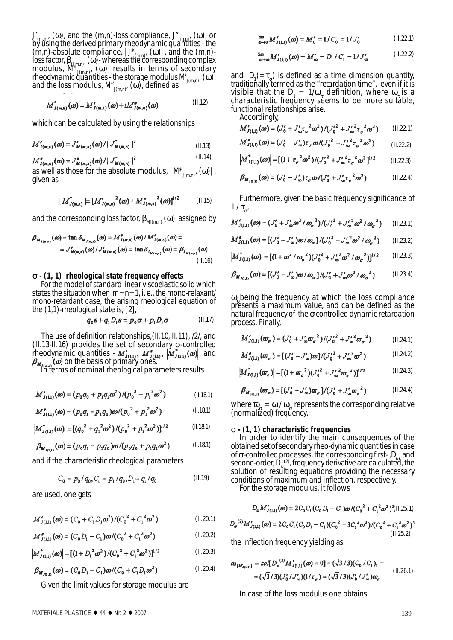$J_{(m,n)}$ , (ω), and the (m,n)-loss compliance,  $J'_{(m,n)}$ , (ω), or by using the *derived primary rheodynamic quantities* - the  $(m,n)$ -absolute compliance,  $|J^*_{(m,n)}$ ,  $(\omega)|$ , and the  $(m,n)$ loss factor, β<sub>(J,m,n)</sub>, (ω)- whereas the corresponding complex<br>modulus, *M*\*<sub>J(m,n)</sub>, (ω), results in terms of *secondary rheodynamic quantities* - the storage modulus *M*<sub>J(m,n)</sub>, (ω), and the loss modulus,  ${M}^{\!\bullet}_{\rm J(m,n)}$ , (ω), defined as

$$
M^{\bullet}_{J(\mathfrak{m},\mathfrak{n})}(\omega) = M'_{J(\mathfrak{m},\mathfrak{n})}(\omega) + i M''_{J(\mathfrak{m},\mathfrak{n})}(\omega) \tag{II.12}
$$

which can be calculated by using the relationships

$$
M'_{J(m,n)}(\omega) = J'_{M(m,n)}(\omega) / |J^*_{M(m,n)}|^2
$$
\n(II.13)

 (II.14)  $M''_{J(m,n)}(\omega) = J''_{M(m,n)}(\omega) / |J'_{M(m,n)}|^2$ 

as well as those for the absolute modulus,  $/M^*_{J(m,n)}, (\omega)|$ , given as

$$
|M_{J(m,n)}^*| = [M'_{J(m,n)}^2(\omega) + M_{J(m,n)}^{\prime\prime}^2(\omega)]^{1/2}
$$
 (II.15)

and the corresponding loss factor,  $\beta_{\text{MI}(m,n)}(\omega)$  assigned by

$$
\beta_{M_{J(\mathfrak{m},\mathfrak{n})}}(\omega) = \tan \delta_{M_{J(\mathfrak{m},\mathfrak{n})}}(\omega) = M'_{J(\mathfrak{m},\mathfrak{n})}(\omega) / M'_{J(\mathfrak{m},\mathfrak{n})}(\omega) =
$$
  
=  $J'_{M(\mathfrak{m},\mathfrak{n})}(\omega) / J'_{M(\mathfrak{m},\mathfrak{n})}(\omega) = \tan \delta_{J_{M(\mathfrak{m},\mathfrak{n})}}(\omega) = \beta_{J_{M(\mathfrak{m},\mathfrak{n})}}(\omega)$   
(II.16)

#### σ **- (1, 1) rheological state frequency effects**

For the model of *standard linear viscoelastic solid* which states the situation when  $m=n=1$ , i. e., the mono-relaxant/ mono-retardant case, the arising rheological equation of the (1,1)-*rheological state* is, [2],

$$
q_0 \varepsilon + q_1 D_t \varepsilon = p_0 \sigma + p_1 D_t \sigma \tag{II.17}
$$

The use of definition relationships,(II.10, II.11), /2/, and (II.13-II.16) provides the set of *secondary* σ-*controlled rheodynamic quantities* -  $M'_{J(11)}, M'_{J(11)}, [M'_{J(11)}(\omega)]$  and on the basis of *primary* ones.

In terms of *nominal* rheological parameters results

$$
M'_{J(11)}(\omega) = (p_0 q_0 + p_1 q_1 \omega^2) / (p_0^2 + p_1^2 \omega^2)
$$
 (I.18.1)

$$
M_{J(1,1)}^{\bullet}(\omega) = (p_0 q_1 - p_1 q_0) \omega / (p_0^2 + p_1^2 \omega^2)
$$
 (I.18.1)

$$
\left| M_{J(1,1)}^*(\omega) \right| = \left[ \left( q_0^2 + q_1^2 \omega^2 \right) / \left( p_0^2 + p_1^2 \omega^2 \right) \right]^{1/2} \tag{I.18.1}
$$

$$
\beta_{\mathbf{M}_{J(1,1)}}(\omega) = (p_0 q_1 - p_1 q_0) \omega / (p_0 q_0 + p_1 q_1 \omega^2)
$$
 (I.18.1)

and if the *characteristic* rheological parameters

$$
C_0 = p_0 / q_0, C_1 = p_1 / q_0, D_1 = q_1 / q_0 \tag{II.19}
$$

are used, one gets

$$
M'_{J(1,1)}(\omega) = (C_0 + C_1 D_1 \omega^2) / (C_0^2 + C_1^2 \omega^2)
$$
 (II.20.1)

$$
M''_{J(11)}(\omega) = (C_0 D_1 - C_1) \omega / (C_0^2 + C_1^2 \omega^2)
$$
 (II.20.2)

$$
\left|M_{J(1,1)}^{*}(\omega)\right| = \left[\left(1 + D_{1}^{2} \omega^{2}\right) / \left(C_{0}^{2} + C_{1}^{2} \omega^{2}\right)\right]^{1/2} \tag{II.20.3}
$$

$$
\beta_{M_{J(1,1)}}(\omega) = (C_0 D_1 - C_1)\omega / (C_0 + C_1 D_1 \omega^2)
$$
 (II.20.4)

Given the *limit* values for storage modulus are

$$
\lim_{\omega \to 0} M'_{J(1,1)}(\omega) = M'_0 = 1/C_0 = 1/J'_0 \tag{II.22.1}
$$

$$
\lim_{\omega \to \infty} M'_{J(1,1)}(\omega) = M'_{\omega} = D_1 / C_1 = 1 / J'_{\omega} \tag{II.22.2}
$$

and  $D_1(=\tau_{\sigma})$  is defined as a time dimension quantity, traditionally termed as the "*retardation time*", even if it is visible that the  $D_1 = 1/\omega_{\tau}$  definition, where  $\omega_{\tau}$  is a *characteristic frequency* seems to be more suitable, functional relationships arise.

Accordingly,

$$
M'_{J(1,1)}(\omega) = (J'_0 + J'_\infty \tau_\sigma^2 \omega^2) / (J'_0^2 + J'_\infty^2 \tau_\sigma^2 \omega^2)
$$
 (II.22.1)

$$
M''_{J(1,1)}(\omega) = (J'_0 - J'_\infty) \tau_\sigma \omega / (J'_0^2 + {J'_\infty}^2 \tau_\sigma^2 \omega^2)
$$
 (II.22.2)

$$
\left| M^{\ast}_{J(1,1)}(\omega) \right| = \left[ (1 + {\tau_{\sigma}}^2 \omega^2) / (J_0^{\prime 2} + {J_{\omega}}^2 {\tau_{\sigma}}^2 \omega^2)^{1/2} \qquad (1.22.3)
$$

$$
\beta_{M_{J(1,1)}}(\omega) = (J'_0 - J'_\infty)\tau_\sigma \omega / (J'_0 + J'_\infty \tau_\sigma^2 \omega^2)
$$
 (I.22.4)

Furthermore, given the basic frequency significance of  $1/\tau_{\sigma}$ 

$$
M'_{J(1,1)}(\omega) = (J'_0 + J'_\infty \omega^2 / \omega_\sigma^{-2}) / (J'_0^2 + J'_\infty^2 \omega^2 / \omega_\sigma^{-2}) \qquad (1.23.1)
$$

$$
M_{J(1,1)}^{\bullet}(\omega) = [ (J_0^{\prime} - J_{\infty}^{\prime}) \omega / \omega_{\sigma}] / (J_0^{\prime 2} + J_{\infty}^{\prime 2} \omega^2 / \omega_{\sigma}^2) \qquad (\text{I.23.2})
$$

$$
\left| M^*_{J(1,1)}(\omega) \right| = \left[ (1 + \omega^2 / \omega_\sigma^2) (J_0^{\prime 2} + J_\infty^{\prime 2} \omega^2 / \omega_\sigma^2) \right]^{1/2}
$$
 (II.23.3)

$$
\beta_{M_{J(1,1)}}(\omega) = \left[ (J'_0 - J'_\infty)\omega / \omega_\sigma \right] / (J'_0 + J'_\infty \omega^2 / \omega_\sigma^2)
$$
 (I.23.4)

 $\omega$  being the frequency at which the loss compliance presents a *maximum value*, and can be defined as the *natural frequency* of the σ*controlled dynamic retardation process*. Finally,

$$
M'_{J(1,1)}(\varpi_{\sigma}) = (J'_{0} + J'_{\omega}\varpi_{\sigma}^{2}) / (J'_{0}^{2} + J'_{\omega}^{2}\varpi_{\sigma}^{2})
$$
 (I.24.1)

$$
M''_{J(1,1)}(\varpi_{\sigma}) = [ (J'_{0} - J'_{\infty})\varpi]/(J'^{2}_{0} + J'_{\infty}^{2}\varpi^{2}) \qquad (\text{I1.24.2})
$$

$$
\left| M_{J(1,1)}^{\dagger}(\boldsymbol{\varpi}_{\mathbf{r}}) \right| = \left[ (1 + \boldsymbol{\varpi}_{\sigma}^2) (J_0^{\prime 2} + J_{\omega}^{\prime 2} \boldsymbol{\varpi}_{\sigma}^2) \right]^{1/2}
$$
 (II.24.3)

$$
\beta_{M_{J(1,1)}}(\varpi_r) = [ (J'_0 - J'_\infty)\varpi_\sigma]/(J'_0 + J'_\infty\varpi_\sigma^2)
$$
 (I.24.4)

where  $\overline{\omega}_{g} = \omega / \omega_{g}$  represents the corresponding *relative (normalized) frequency*.

# σ **- (1, 1) characteristic frequencies**

In order to identify the main consequences of the obtained set of secondary rheo-dynamic quantities in case of σ-*controlled* processes, the corresponding first-, D<sub>ω</sub>, and second-order,  $\tilde{D}_{\omega_{\rm tot}}^{(2)}$ , frequency derivative are calculated, the solution of resulting equations providing the *necessary conditions* of maximum and inflection, respectively. For the storage modulus, it follows

$$
D_{\omega}M'_{J(1,1)}(\omega) = 2C_0C_1(C_0D_1 - C_1)\omega/(C_0^2 + C_1^2\omega^2)^2(\text{II.25.1})
$$

$$
D_{\omega}^{(2)}M'_{J(1,1)}(\omega) = 2C_0C_1(C_0D_1 - C_1)(C_0^2 - 3C_1^2\omega^2)/(C_0^2 + C_1^2\omega^2)^3
$$
\n(II.25.2)

the inflection frequency yielding as

$$
\omega_{\{M'_{J(1,1)}\}} = soI[D_{\omega}^{(2)}M'_{J(1,1)}(\omega) = 0] = (\sqrt{3}/3)(C_0/C_1)_1 =
$$
  
=  $(\sqrt{3}/3)(J'_0/J'_{\omega})(1/\tau_{\sigma}) = (\sqrt{3}/3)(J'_0/J'_{\omega})\omega_{\sigma}$  (II.26.1)

In case of the loss modulus one obtains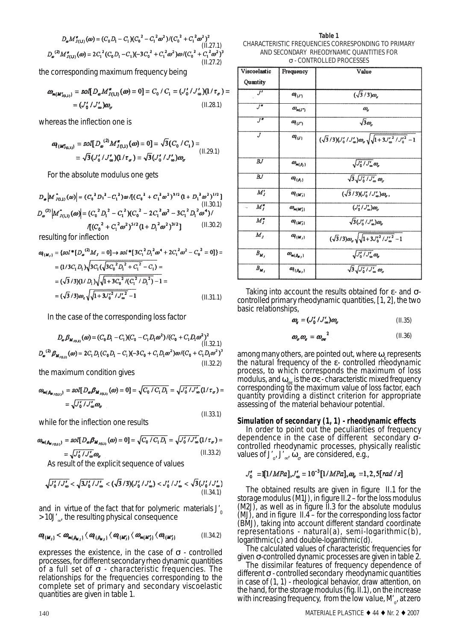$$
D_{\omega}M_{J(1,1)}^{\sigma}(\omega) = (C_0D_1 - C_1)(C_0^2 - C_1^2\omega^2)/(C_0^2 + C_1^2\omega^2)^2
$$
\n(II.27.1)  
\n
$$
D_{\omega}^{(2)}M_{J(1,1)}^{\sigma}(\omega) = 2C_1^2(C_0D_1 - C_1)(-3C_0^2 + C_1^2\omega^2)\omega/(C_0^2 + C_1^2\omega^2)^3
$$
\n(II.27.2)

the corresponding maximum frequency being

$$
\omega_{m(M'_{J(1,1)})} = \text{sol}[D_{\omega}M''_{J(1,1)}(\omega) = 0] = C_0 / C_1 = (J'_0 / J'_{\omega})(1 / \tau_{\sigma}) =
$$
  
=  $(J'_0 / J'_{\omega})\omega_{\sigma}$  (II.28.1)

whereas the inflection one is

$$
\omega_{\{M_{J(1,1)}^*\}} = sol[D_{\omega}^{(2)} M_{J(1,1)}^{\pi}(\omega) = 0] = \sqrt{3}(C_0/C_1) =
$$
  
=  $\sqrt{3}(J_0'/J_{\omega}')(1/\tau_{\sigma}) = \sqrt{3}(J_0'/J_{\omega}')\omega_{\sigma}$  (II.29.1)

For the absolute modulus one gets

 $|D_{\varphi}| M_{J(1,1)}^*(\omega)| = (C_0^2 D_1^2 - C_1^2) \omega /[(C_0^2 + C_1^2 \omega^2)^{3/2} (1 + D_1^2 \omega^2)^{1/2}]$ <br>(II.30.1)<br> $D_{\omega}^{(2)} |M_{J(1,1)}^*(\omega)| = (C_0^2 D_1^2 - C_1^2)(C_0^2 - 2C_1^2 \omega^2 - 3C_1^2 D_1^2 \omega^4) /$  $\sqrt{(C_0^2 + C_1^2 \omega^2)^{5/2} (1 + D_1^2 \omega^2)^{3/2}}$  $(II.30.2)$ 

resulting for inflection

$$
\omega_{\{M_J\}} = \{sol^* [D_{\omega}^{(2)} M_J = 0] \rightarrow sol^* [3C_1^2 D_1^2 \omega^4 + 2C_1^2 \omega^2 - C_0^2 = 0]\} =
$$
  
=  $(1/3C_1 D_1) \sqrt{3C_1 (\sqrt{3C_0^2 D_1^2 + C_1^2 - C_1})} =$   
=  $(\sqrt{3}/3)(1/D_1) \sqrt{\sqrt{1+3C_0^2 / (C_1^2/D_1^2) - 1}} =$   
=  $(\sqrt{3}/3) \omega_r \sqrt{\sqrt{1+3U_0^2 / U_{\omega}^2 - 1}}$  (II.31.1)

In the case of the corresponding loss factor

$$
D_{\omega} \beta_{M_{J(1,1)}}(\omega) = (C_0 D_1 - C_1)(C_0 - C_1 D_1 \omega^2) / (C_0 + C_1 D_1 \omega^2)^2
$$
\n(II.32.1)  
\n
$$
D_{\omega}^{(2)} \beta_{M_{J(1,1)}}(\omega) = 2C_1 D_1 (C_0 D_1 - C_1)(-3C_0 + C_1 D_1 \omega^2) \omega / (C_0 + C_1 D_1 \omega^2)^3
$$
\n(II.32.2)

the maximum condition gives

$$
\omega_{m(\beta_{M_{J(2,1)}})} = sol[D_{\omega}\beta_{M_{J(2,1)}}(\omega) = 0] = \sqrt{C_0/C_1D_1} = \sqrt{J_0'/J_{\omega}'}(1/\tau_{\sigma}) =
$$
  
=  $\sqrt{J_0'/J_{\omega}'}\omega_{\sigma}$ 

 $(II.33.1)$ 

while for the inflection one results

$$
\omega_{m(\beta_{M_{J(2,1)}})} = sol[D_{\omega}\beta_{M_{J(2,1)}}(\omega) = 0] = \sqrt{C_0/C_1D_1} = \sqrt{J'_0/J'_{\omega}}(1/\tau_{\sigma}) =
$$
  
=  $\sqrt{J'_0/J'_{\omega}}\omega_{\sigma}$  (II.33.2)

As result of the explicit sequence of values

$$
\sqrt{J_0' / J_\infty'} < \sqrt{3J_0' / J_\infty'} < (\sqrt{3}/3)(J_0' / J_\infty') < J_0' / J_\infty' < \sqrt{3}(J_0' / J_\infty')
$$
\n(II.34.1)

and in virtue of the fact that for polymeric materials  $J_0$ >10J'∞, the resulting physical consequence

$$
\omega_{\{\mathcal{U}_{j}\}} < \omega_{m\{\beta_{\mathcal{U}_{j}}\}} \langle \omega_{\{\beta_{\mathcal{U}_{j}}\}} \langle \omega_{\{\mathcal{U}_{j}\}} \langle \omega_{m\{\mathcal{U}_{j}'\}} \langle \omega_{\beta_{m\{\mathcal{U}_{j}'\}}}\rangle \langle \omega_{\{\mathcal{U}_{j}'\}} \rangle \tag{II.34.2}
$$

expresses the existence, in the case of σ *- controlled processes*, for different secondary rheo dynamic quantities of a *full* set of σ *- characteristic frequencies.* The relationships for the frequencies corresponding to the complete set of primary and secondary viscoelastic quantities are given in table 1.

**Table 1** CHARACTERISTIC FREQUENCIES CORRESPONDING TO PRIMARY AND SECONDARY RHEODYNAMIC QUANTITIES FOR σ - CONTROLLED PROCESSES

| Viscoelastic           | Frequency                                         | Value                                                                                        |
|------------------------|---------------------------------------------------|----------------------------------------------------------------------------------------------|
| Quantity               |                                                   |                                                                                              |
| $J^{\prime}$           | $\mathbfit{a}_{\{I'\}}$                           | $\sqrt{3}/3)\omega_{\sigma}$                                                                 |
| J''                    | $\omega_{\scriptscriptstyle {\sf m}(J^{\prime})}$ | $\omega_{\star}$                                                                             |
| J''                    | $\mathbfit{a}_{\{J'\}}$                           | $\sqrt{3}\omega_a$                                                                           |
| J                      | $\mathbfit{a}_{\{J\}}$                            | $(\sqrt{3}/3)(J'_{\omega}/J'_{\omega})\omega_{\sigma}\sqrt{1+3{J'_{\omega}}^2/{J'_{0}}^2}-1$ |
| $B$ $J$                | $\omega_{\mathbf{m}(\beta_I)}$                    | $\sqrt{J_0^{\prime}/J_{\infty}^{\prime}}\omega_{\sigma}$                                     |
| $B$ $J$                | $\mathbfit{a}_{\{\beta_j\}}$                      | $\sqrt{3}\sqrt{J_0^{\prime}/J_{\omega}^{\prime}}\omega_{\sigma}$                             |
| $M'_J$                 | $\alpha_{\{M'_j\}}$                               | $(\sqrt{3}/3)(J'_{0}/J'_{\omega})\omega_{\sigma}$ ,                                          |
| $M''_J$                | $\omega_{\bowtie(M'_j)}$                          | $(J_0'/J_{\infty}')\omega_a$                                                                 |
| $M''_J$                | $\mathbfit{O}(\mathbfit{M}_I)$                    | $\sqrt{3}(J_0'/J_\infty')\omega_\sigma$                                                      |
| $M_{J}$                | $\mathbfit{a}_{\{M_j\}}$                          | $(\sqrt{3}/3)\omega_{\sigma} \sqrt{1+3J_0^{\prime 2}/J_{\infty}^{\prime 2}}-1$               |
| $B_{\boldsymbol{M}_J}$ | $\omega_{\mathbf{m}(\mathbb{A}_{\mathbf{s}j})}$   | $\sqrt{J_0^{\prime}/J_{\infty}^{\prime}}\omega_{\sigma}$                                     |
| $B_{\pmb{M}_I}$        | $\alpha_{\{\beta_{\alpha_{i}}\}}$                 | $\sqrt{3}\sqrt{J_0^{\prime}/J_{\infty}^{\prime}}\omega_{\sigma}$                             |

Taking into account the results obtained for  $\varepsilon$ - and  $\sigma$ *controlled* primary rheodynamic quantities, [1, 2], the two basic relationships,

$$
\omega_{\mathbf{r}} = (J_0' / J_{\infty}') \omega_{\sigma} \tag{II.35}
$$

$$
\omega_{\sigma}\omega_{\sigma} = \omega_{\sigma\sigma}^{2} \tag{II.36}
$$

among many others, are pointed out, where  $\omega$  represents the *natural frequency of the* ε*- controlled rheodynamic* process, to which corresponds the maximum of loss modulus, and  $ω_{\infty}$  is the σε - characteristic *mixed frequency* corresponding to the maximum value of loss factor, each quantity providing a distinct criterion for appropriate assessing of the material behaviour potential.

#### **Simulation of secondary (1, 1) - rheodynamic effects**

In order to point out the peculiarities of frequency dependence in the case of different secondary  $\sigma$ controlled rheodynamic processes, physically realistic values of J' $_{\rm o}$ , J' $_{\rm \infty}$ ,  $\omega_{\sigma}$  are considered, e.g.,

$$
J_0' = \mathbb{I}[1/MPa], J_{\infty}' = 10^{-3} [1/MPa], \omega_{\sigma} = 1, 2, 5[rad/s]
$$

The obtained results are given in figure II.1 for the *storage modulus* (M1J), in figure II.2 – for the *loss modulus* (M2J), as well as in figure II.3 for the *absolute modulus* (MJ), and in figure II.4 – for the corresponding *loss factor* (BMJ), taking into account different standard coordinate representations - natural(a), semi-logarithmic(b), logarithmic(c) and double-logarithmic(d).

The calculated values of characteristic frequencies for given  $\sigma$ -*controlled* dynamic processes are given in table 2.

The dissimilar features of frequency dependence of different σ *- controlled secondary rheodynamic quantities* in case of (1, 1) - rheological behavior, draw attention, on the hand, for the *storage modulus* (fig. II.1), on the increase with increasing frequency, from the *low value*, M'<sub>o</sub>, at zero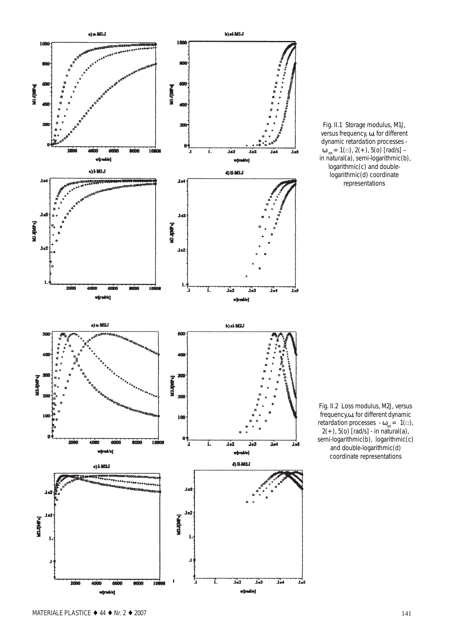

Fig. II.1 Storage modulus, M1J, versus frequency, ω, for different dynamic *retardation* processes -  $\omega_{\text{ret}} = 1(\square), 2(+), 5(0)$  [rad/s] in natural(a), semi-logarithmic(b), logarithmic(c) and doublelogarithmic(d) coordinate representations

Fig. II.2 Loss modulus, M2J, versus frequency,ω, for different dynamic *retardation* processes  $-\omega_{\text{ref}} = 1(\square)$ ,  $2(+)$ ,  $5(0)$  [rad/s] - in natural(a), semi-logarithmic(b), logarithmic(c) and double-logarithmic(d) coordinate representations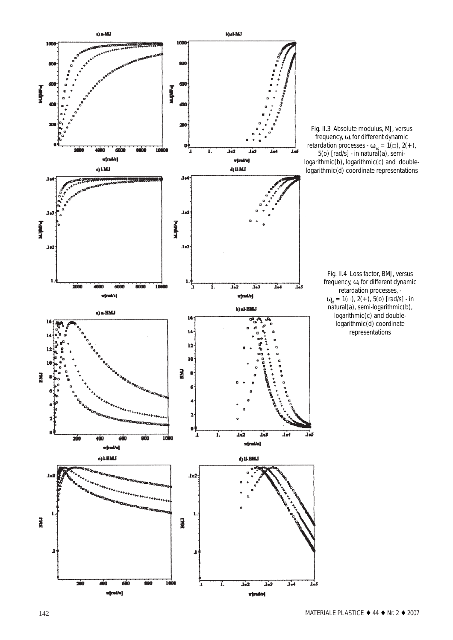

Fig. II.3 Absolute modulus, MJ, versus frequency, ω, for different dynamic *retardation* processes -  $\omega_{\text{ref}} = 1(\square), 2(+),$ 5(o) [rad/s] - in natural(a), semilogarithmic(b), logarithmic(c) and doublelogarithmic(d) coordinate representations

Fig. II.4 Loss factor, BMJ, versus frequency, ω, for different dynamic retardation processes, -  $\omega_{\text{et}} = 1(\square), 2(+), 5(0)$  [rad/s] - in natural(a), semi-logarithmic(b), logarithmic(c) and doublelogarithmic(d) coordinate representations

 $\mathbf{I}_{\bullet}$ 5